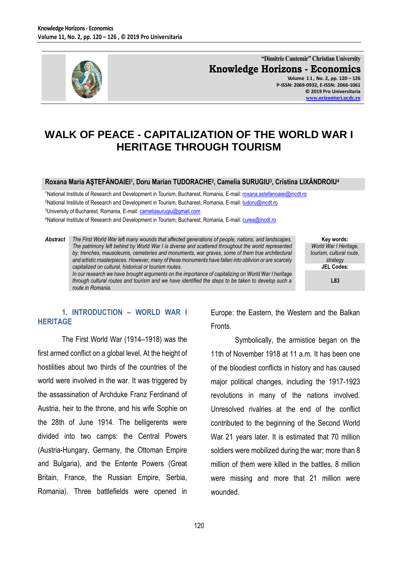

**"Dimitrie Cantemir" Christian University Knowledge Horizons - Economics Volume 1 1 , No. 2, pp. 120 – 126**

**P-ISSN: 2069-0932, E-ISSN: 2066-1061 © 2019 Pro Universitaria [www.orizonturi.ucdc.ro](http://www.orizonturi.ucdc.ro/)**

# **WALK OF PEACE - CAPITALIZATION OF THE WORLD WAR I HERITAGE THROUGH TOURISM**

#### **Roxana Maria AŞTEFĂNOAIEI<sup>1</sup> , Doru Marian TUDORACHE<sup>2</sup> , Camelia SURUGIU<sup>3</sup> , Cristina LIXĂNDROIU<sup>4</sup>**

1National Institute of Research and Development in Tourism, Bucharest, Romania, E-mail[: roxana.astefanoaiei@incdt.ro](mailto:roxana.astefanoaiei@incdt.ro) <sup>2</sup>National Institute of Research and Development in Tourism, Bucharest, Romania, E-mail[: tudoru@incdt.ro](mailto:tudoru@incdt.ro) 3University of Bucharest, Romania, E-mail: [cameliasurugiu@gmail.com](mailto:cameliasurugiu@gmail.com)

4National Institute of Research and Development in Tourism, Bucharest, Romania, E-mail[: curea@incdt.ro](mailto:curea@incdt.ro)

*Abstract The First World War left many wounds that affected generations of people, nations, and landscapes.*  The patrimony left behind by World War I is diverse and scattered throughout the world represented *by: trenches, mausoleums, cemeteries and monuments, war graves, some of them true architectural and artistic masterpieces. However, many of these monuments have fallen into oblivion or are scarcely capitalized on cultural, historical or tourism routes. In our research we have brought arguments on the importance of capitalizing on World War I heritage*

*through cultural routes and tourism and we have identified the steps to be taken to develop such a route in Romania.*

**Key words:** *World War I Heritage, tourism, cultural route, strategy* **JEL Codes:**

**L83**

## **1. INTRODUCTION – WORLD WAR I HERITAGE**

The First World War (1914–1918) was the first armed conflict on a global level. At the height of hostilities about two thirds of the countries of the world were involved in the war. It was triggered by the assassination of Archduke Franz Ferdinand of Austria, heir to the throne, and his wife Sophie on the 28th of June 1914. The belligerents were divided into two camps: the Central Powers (Austria-Hungary, Germany, the Ottoman Empire and Bulgaria), and the Entente Powers (Great Britain, France, the Russian Empire, Serbia, Romania). Three battlefields were opened in

Europe: the Eastern, the Western and the Balkan Fronts.

Symbolically, the armistice began on the 11th of November 1918 at 11 a.m. It has been one of the bloodiest conflicts in history and has caused major political changes, including the 1917-1923 revolutions in many of the nations involved. Unresolved rivalries at the end of the conflict contributed to the beginning of the Second World War 21 years later. It is estimated that 70 million soldiers were mobilized during the war; more than 8 million of them were killed in the battles, 8 million were missing and more that 21 million were wounded.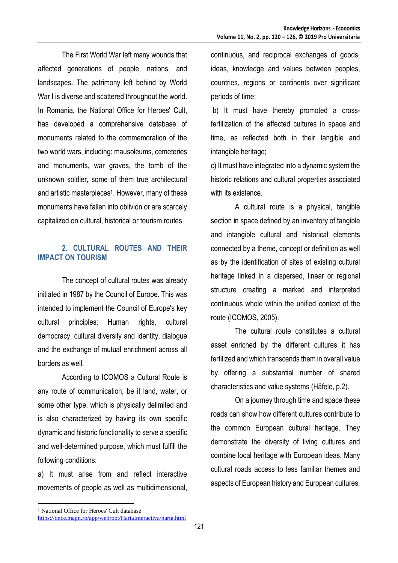The First World War left many wounds that affected generations of people, nations, and landscapes. The patrimony left behind by World War I is diverse and scattered throughout the world. In Romania, the National Office for Heroes' Cult, has developed a comprehensive database of monuments related to the commemoration of the two world wars, including: mausoleums, cemeteries and monuments, war graves, the tomb of the unknown soldier, some of them true architectural and artistic masterpieces<sup>1</sup> . However, many of these monuments have fallen into oblivion or are scarcely capitalized on cultural, historical or tourism routes.

# **2. CULTURAL ROUTES AND THEIR IMPACT ON TOURISM**

The concept of cultural routes was already initiated in 1987 by the Council of Europe. This was intended to implement the Council of Europe's key cultural principles: Human rights, cultural democracy, cultural diversity and identity, dialogue and the exchange of mutual enrichment across all borders as well.

According to ICOMOS a Cultural Route is any route of communication, be it land, water, or some other type, which is physically delimited and is also characterized by having its own specific dynamic and historic functionality to serve a specific and well-determined purpose, which must fulfill the following conditions:

a) It must arise from and reflect interactive movements of people as well as multidimensional, continuous, and reciprocal exchanges of goods, ideas, knowledge and values between peoples, countries, regions or continents over significant periods of time;

b) It must have thereby promoted a crossfertilization of the affected cultures in space and time, as reflected both in their tangible and intangible heritage;

c) It must have integrated into a dynamic system the historic relations and cultural properties associated with its existence.

A cultural route is a physical, tangible section in space defined by an inventory of tangible and intangible cultural and historical elements connected by a theme, concept or definition as well as by the identification of sites of existing cultural heritage linked in a dispersed, linear or regional structure creating a marked and interpreted continuous whole within the unified context of the route (ICOMOS, 2005).

The cultural route constitutes a cultural asset enriched by the different cultures it has fertilized and which transcends them in overall value by offering a substantial number of shared characteristics and value systems (Häfele, p.2).

On a journey through time and space these roads can show how different cultures contribute to the common European cultural heritage. They demonstrate the diversity of living cultures and combine local heritage with European ideas. Many cultural roads access to less familiar themes and aspects of European history and European cultures.

 $\overline{a}$ 

<sup>&</sup>lt;sup>1</sup> National Office for Heroes' Cult database

<https://once.mapn.ro/app/webroot/HartaInteractiva/harta.html>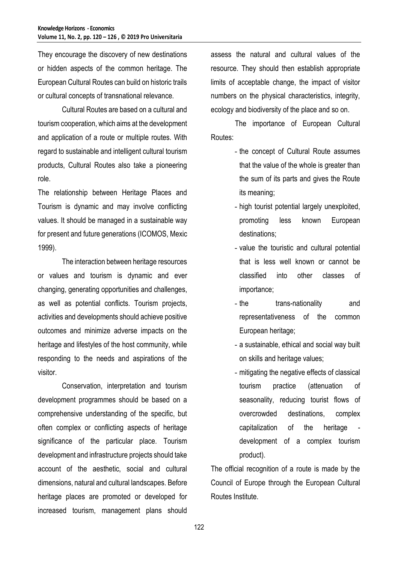They encourage the discovery of new destinations or hidden aspects of the common heritage. The European Cultural Routes can build on historic trails or cultural concepts of transnational relevance.

Cultural Routes are based on a cultural and tourism cooperation, which aims at the development and application of a route or multiple routes. With regard to sustainable and intelligent cultural tourism products, Cultural Routes also take a pioneering role.

The relationship between Heritage Places and Tourism is dynamic and may involve conflicting values. It should be managed in a sustainable way for present and future generations (ICOMOS, Mexic 1999).

The interaction between heritage resources or values and tourism is dynamic and ever changing, generating opportunities and challenges, as well as potential conflicts. Tourism projects, activities and developments should achieve positive outcomes and minimize adverse impacts on the heritage and lifestyles of the host community, while responding to the needs and aspirations of the visitor.

Conservation, interpretation and tourism development programmes should be based on a comprehensive understanding of the specific, but often complex or conflicting aspects of heritage significance of the particular place. Tourism development and infrastructure projects should take account of the aesthetic, social and cultural dimensions, natural and cultural landscapes. Before heritage places are promoted or developed for increased tourism, management plans should

assess the natural and cultural values of the resource. They should then establish appropriate limits of acceptable change, the impact of visitor numbers on the physical characteristics, integrity, ecology and biodiversity of the place and so on.

The importance of European Cultural Routes:

- the concept of Cultural Route assumes that the value of the whole is greater than the sum of its parts and gives the Route its meaning;
- high tourist potential largely unexploited, promoting less known European destinations;
- value the touristic and cultural potential that is less well known or cannot be classified into other classes of importance;
- the trans-nationality and representativeness of the common European heritage;
- a sustainable, ethical and social way built on skills and heritage values;
- mitigating the negative effects of classical tourism practice (attenuation of seasonality, reducing tourist flows of overcrowded destinations, complex capitalization of the heritage development of a complex tourism product).

The official recognition of a route is made by the Council of Europe through the European Cultural Routes Institute.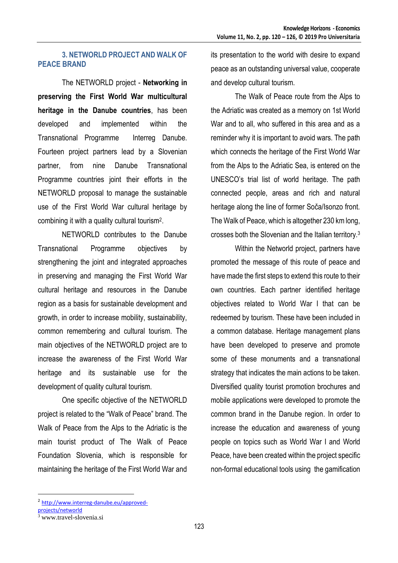#### **3. NETWORLD PROJECT AND WALK OF PEACE BRAND**

The NETWORLD project - **Networking in preserving the First World War multicultural heritage in the Danube countries**, has been developed and implemented within the Transnational Programme Interreg Danube. Fourteen project partners lead by a Slovenian partner, from nine Danube Transnational Programme countries joint their efforts in the NETWORLD proposal to manage the sustainable use of the First World War cultural heritage by combining it with a quality cultural tourism<sup>2</sup> .

NETWORLD contributes to the Danube Transnational Programme objectives by strengthening the joint and integrated approaches in preserving and managing the First World War cultural heritage and resources in the Danube region as a basis for sustainable development and growth, in order to increase mobility, sustainability, common remembering and cultural tourism. The main objectives of the NETWORLD project are to increase the awareness of the First World War heritage and its sustainable use for the development of quality cultural tourism.

One specific objective of the NETWORLD project is related to the "Walk of Peace" brand. The Walk of Peace from the Alps to the Adriatic is the main tourist product of The Walk of Peace Foundation Slovenia, which is responsible for maintaining the heritage of the First World War and

its presentation to the world with desire to expand peace as an outstanding universal value, cooperate and develop cultural tourism.

The Walk of Peace route from the Alps to the Adriatic was created as a memory on 1st World War and to all, who suffered in this area and as a reminder why it is important to avoid wars. The path which connects the heritage of the First World War from the Alps to the Adriatic Sea, is entered on the UNESCO's trial list of world heritage. The path connected people, areas and rich and natural heritage along the line of former Soča/Isonzo front. The Walk of Peace, which is altogether 230 km long, crosses both the Slovenian and the Italian territory.<sup>3</sup>

Within the Networld project, partners have promoted the message of this route of peace and have made the first steps to extend this route to their own countries. Each partner identified heritage objectives related to World War I that can be redeemed by tourism. These have been included in a common database. Heritage management plans have been developed to preserve and promote some of these monuments and a transnational strategy that indicates the main actions to be taken. Diversified quality tourist promotion brochures and mobile applications were developed to promote the common brand in the Danube region. In order to increase the education and awareness of young people on topics such as World War I and World Peace, have been created within the project specific non-formal educational tools using the gamification

 $\overline{a}$ 

<sup>2</sup> [http://www.interreg-danube.eu/approved-](http://www.interreg-danube.eu/approved-projects/networld)

[projects/networld](http://www.interreg-danube.eu/approved-projects/networld)

www.travel-slovenia.si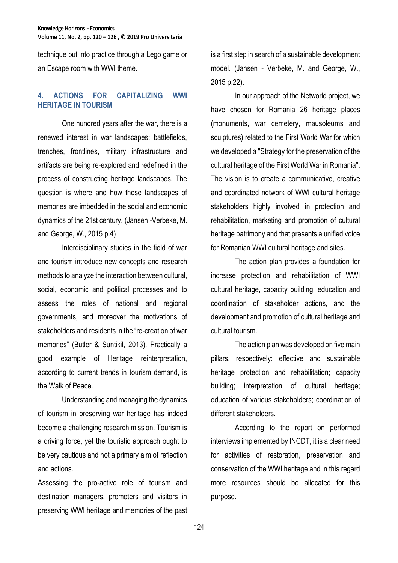technique put into practice through a Lego game or an Escape room with WWI theme.

## **4. ACTIONS FOR CAPITALIZING WWI HERITAGE IN TOURISM**

One hundred years after the war, there is a renewed interest in war landscapes: battlefields, trenches, frontlines, military infrastructure and artifacts are being re-explored and redefined in the process of constructing heritage landscapes. The question is where and how these landscapes of memories are imbedded in the social and economic dynamics of the 21st century. (Jansen -Verbeke, M. and George, W., 2015 p.4)

Interdisciplinary studies in the field of war and tourism introduce new concepts and research methods to analyze the interaction between cultural, social, economic and political processes and to assess the roles of national and regional governments, and moreover the motivations of stakeholders and residents in the "re-creation of war memories" (Butler & Suntikil, 2013). Practically a good example of Heritage reinterpretation, according to current trends in tourism demand, is the Walk of Peace.

Understanding and managing the dynamics of tourism in preserving war heritage has indeed become a challenging research mission. Tourism is a driving force, yet the touristic approach ought to be very cautious and not a primary aim of reflection and actions.

Assessing the pro-active role of tourism and destination managers, promoters and visitors in preserving WWI heritage and memories of the past is a first step in search of a sustainable development model. (Jansen - Verbeke, M. and George, W., 2015 p.22).

In our approach of the Networld project, we have chosen for Romania 26 heritage places (monuments, war cemetery, mausoleums and sculptures) related to the First World War for which we developed a "Strategy for the preservation of the cultural heritage of the First World War in Romania". The vision is to create a communicative, creative and coordinated network of WWI cultural heritage stakeholders highly involved in protection and rehabilitation, marketing and promotion of cultural heritage patrimony and that presents a unified voice for Romanian WWI cultural heritage and sites.

The action plan provides a foundation for increase protection and rehabilitation of WWI cultural heritage, capacity building, education and coordination of stakeholder actions, and the development and promotion of cultural heritage and cultural tourism.

The action plan was developed on five main pillars, respectively: effective and sustainable heritage protection and rehabilitation; capacity building; interpretation of cultural heritage; education of various stakeholders; coordination of different stakeholders.

According to the report on performed interviews implemented by INCDT, it is a clear need for activities of restoration, preservation and conservation of the WWI heritage and in this regard more resources should be allocated for this purpose.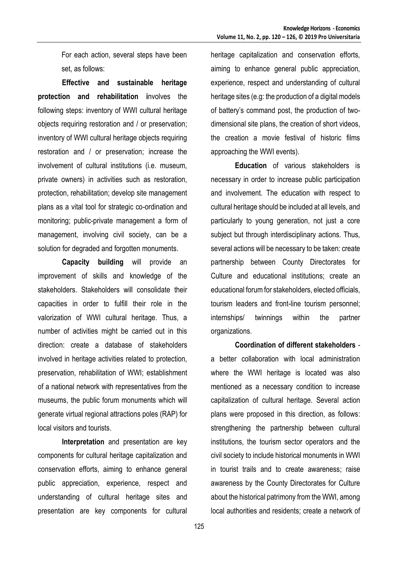For each action, several steps have been set, as follows:

**Effective and sustainable heritage protection and rehabilitation i**nvolves the following steps: inventory of WWI cultural heritage objects requiring restoration and / or preservation; inventory of WWI cultural heritage objects requiring restoration and / or preservation; increase the involvement of cultural institutions (i.e. museum, private owners) in activities such as restoration, protection, rehabilitation; develop site management plans as a vital tool for strategic co-ordination and monitoring; public-private management a form of management, involving civil society, can be a solution for degraded and forgotten monuments.

**Capacity building** will provide an improvement of skills and knowledge of the stakeholders. Stakeholders will consolidate their capacities in order to fulfill their role in the valorization of WWI cultural heritage. Thus, a number of activities might be carried out in this direction: create a database of stakeholders involved in heritage activities related to protection, preservation, rehabilitation of WWI; establishment of a national network with representatives from the museums, the public forum monuments which will generate virtual regional attractions poles (RAP) for local visitors and tourists.

**Interpretation** and presentation are key components for cultural heritage capitalization and conservation efforts, aiming to enhance general public appreciation, experience, respect and understanding of cultural heritage sites and presentation are key components for cultural

heritage capitalization and conservation efforts, aiming to enhance general public appreciation, experience, respect and understanding of cultural heritage sites (e.g: the production of a digital models of battery's command post, the production of twodimensional site plans, the creation of short videos, the creation a movie festival of historic films approaching the WWI events).

**Education** of various stakeholders is necessary in order to increase public participation and involvement. The education with respect to cultural heritage should be included at all levels, and particularly to young generation, not just a core subject but through interdisciplinary actions. Thus, several actions will be necessary to be taken: create partnership between County Directorates for Culture and educational institutions; create an educational forum for stakeholders, elected officials, tourism leaders and front-line tourism personnel; internships/ twinnings within the partner organizations.

**Coordination of different stakeholders** a better collaboration with local administration where the WWI heritage is located was also mentioned as a necessary condition to increase capitalization of cultural heritage. Several action plans were proposed in this direction, as follows: strengthening the partnership between cultural institutions, the tourism sector operators and the civil society to include historical monuments in WWI in tourist trails and to create awareness; raise awareness by the County Directorates for Culture about the historical patrimony from the WWI, among local authorities and residents; create a network of